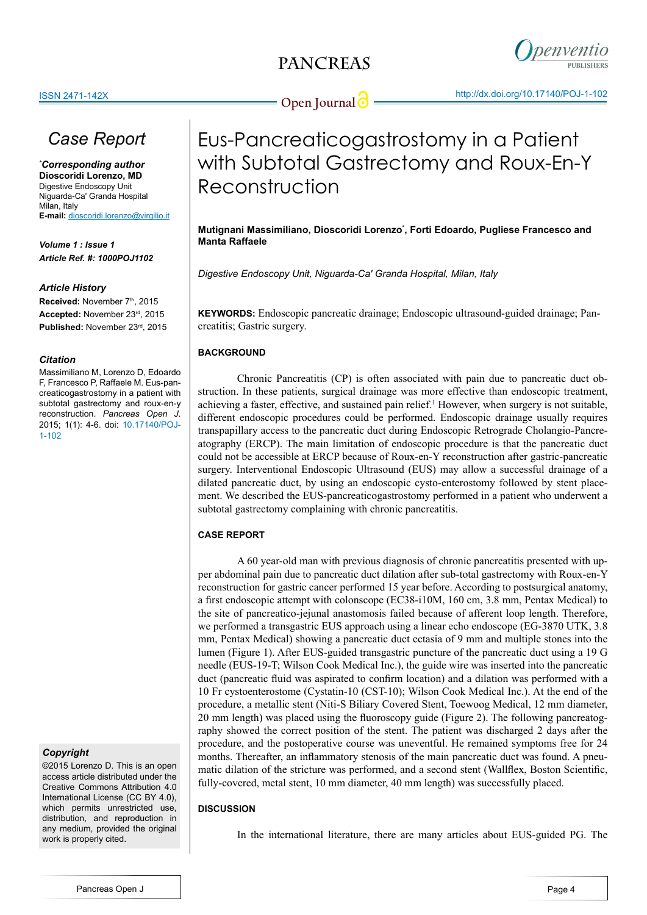

## *Case Report*

*\* Corresponding author* **Dioscoridi Lorenzo, MD** Digestive Endoscopy Unit Niguarda-Ca' Granda Hospital Milan, Italy **E-mail:** dioscoridi.lorenzo@virgilio.it

*Volume 1 : Issue 1 Article Ref. #: 1000POJ1102*

## *Article History*

Received: November 7<sup>th</sup>, 2015 **Accepted:** November 23rd, 2015 **Published:** November 23rd, 2015

## *Citation*

Massimiliano M, Lorenzo D, Edoardo F, Francesco P, Raffaele M. Eus-pancreaticogastrostomy in a patient with subtotal gastrectomy and roux-en-y reconstruction. *Pancreas Open J*. 2015; 1(1): 4-6. doi: [10.17140/POJ-](http://openventio.org/Volume1_Issue1/Eus_Pancreaticogastrostomy_in_a_Patient_with_Subtotal_Gastrectomy_and_Roux_En_Y_Reconstruction_POJ_1_102.pdf)[1-102](http://openventio.org/Volume1_Issue1/Eus_Pancreaticogastrostomy_in_a_Patient_with_Subtotal_Gastrectomy_and_Roux_En_Y_Reconstruction_POJ_1_102.pdf)

## *Copyright*

©2015 Lorenzo D. This is an open access article distributed under the Creative Commons Attribution 4.0 International License (CC BY 4.0) which permits unrestricted use, distribution, and reproduction in any medium, provided the original work is properly cited.

# Eus-Pancreaticogastrostomy in a Patient with Subtotal Gastrectomy and Roux-En-Y Reconstruction

**Mutignani Massimiliano, Dioscoridi Lorenzo\* , Forti Edoardo, Pugliese Francesco and Manta Raffaele**

*Digestive Endoscopy Unit, Niguarda-Ca' Granda Hospital, Milan, Italy*

**KEYWORDS:** Endoscopic pancreatic drainage; Endoscopic ultrasound-guided drainage; Pancreatitis; Gastric surgery.

## **BACKGROUND**

Chronic Pancreatitis (CP) is often associated with pain due to pancreatic duct obstruction. In these patients, surgical drainage was more effective than endoscopic treatment, achieving a faster, effective, and sustained pain relief.<sup>[1](#page-2-0)</sup> However, when surgery is not suitable, different endoscopic procedures could be performed. Endoscopic drainage usually requires transpapillary access to the pancreatic duct during Endoscopic Retrograde Cholangio-Pancreatography (ERCP). The main limitation of endoscopic procedure is that the pancreatic duct could not be accessible at ERCP because of Roux-en-Y reconstruction after gastric-pancreatic surgery. Interventional Endoscopic Ultrasound (EUS) may allow a successful drainage of a dilated pancreatic duct, by using an endoscopic cysto-enterostomy followed by stent placement. We described the EUS-pancreaticogastrostomy performed in a patient who underwent a subtotal gastrectomy complaining with chronic pancreatitis.

## **CASE REPORT**

A 60 year-old man with previous diagnosis of chronic pancreatitis presented with upper abdominal pain due to pancreatic duct dilation after sub-total gastrectomy with Roux-en-Y reconstruction for gastric cancer performed 15 year before. According to postsurgical anatomy, a first endoscopic attempt with colonscope (EC38-i10M, 160 cm, 3.8 mm, Pentax Medical) to the site of pancreatico-jejunal anastomosis failed because of afferent loop length. Therefore, we performed a transgastric EUS approach using a linear echo endoscope (EG-3870 UTK, 3.8 mm, Pentax Medical) showing a pancreatic duct ectasia of 9 mm and multiple stones into the lumen (Figure 1). After EUS-guided transgastric puncture of the pancreatic duct using a 19 G needle (EUS-19-T; Wilson Cook Medical Inc.), the guide wire was inserted into the pancreatic duct (pancreatic fluid was aspirated to confirm location) and a dilation was performed with a 10 Fr cystoenterostome (Cystatin-10 (CST-10); Wilson Cook Medical Inc.). At the end of the procedure, a metallic stent (Niti-S Biliary Covered Stent, Toewoog Medical, 12 mm diameter, 20 mm length) was placed using the fluoroscopy guide (Figure 2). The following pancreatography showed the correct position of the stent. The patient was discharged 2 days after the procedure, and the postoperative course was uneventful. He remained symptoms free for 24 months. Thereafter, an inflammatory stenosis of the main pancreatic duct was found. A pneumatic dilation of the stricture was performed, and a second stent (Wallflex, Boston Scientific, fully-covered, metal stent, 10 mm diameter, 40 mm length) was successfully placed.

## **DISCUSSION**

In the international literature, there are many articles about EUS-guided PG. The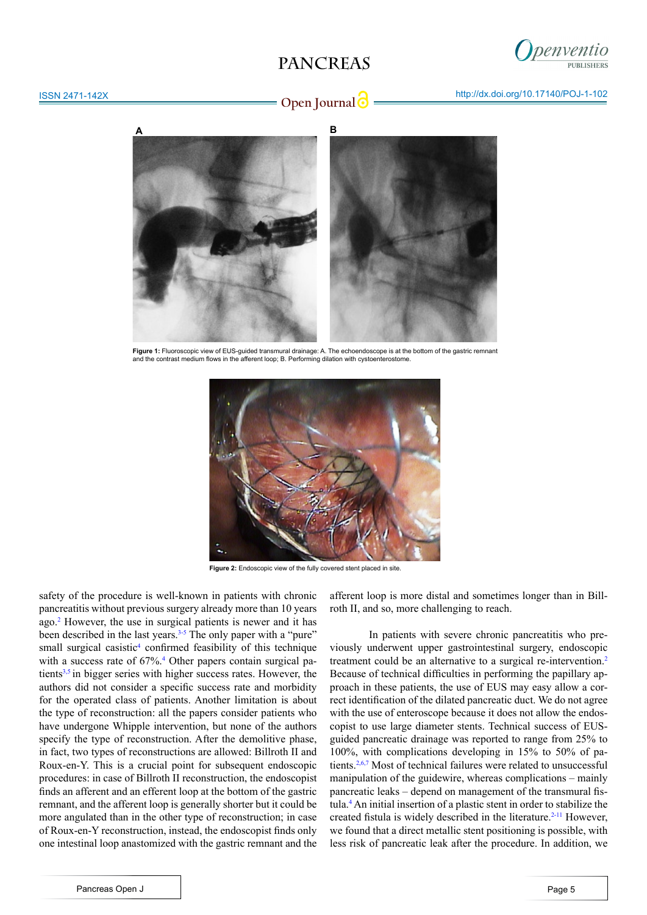## **PANCREAS**



## ISSN 2471-142X



Figure 1: Fluoroscopic view of EUS-quided transmural drainage: A. The echoendoscope is at the bottom of the gastric remnant and the contrast medium flows in the afferent loop; B. Performing dilation with cystoenterostor



**Figure 2:** Endoscopic view of the fully covered stent placed in site.

safety of the procedure is well-known in patients with chronic pancreatitis without previous surgery already more than 10 years ago.[2](#page-2-1) However, the use in surgical patients is newer and it has been described in the last years.<sup>[3-5](#page-2-2)</sup> The only paper with a "pure" small surgical casistic<sup>[4](#page-2-3)</sup> confirmed feasibility of this technique with a success rate of 67%.<sup>4</sup> Other papers contain surgical patients $3,5$  $3,5$  in bigger series with higher success rates. However, the authors did not consider a specific success rate and morbidity for the operated class of patients. Another limitation is about the type of reconstruction: all the papers consider patients who have undergone Whipple intervention, but none of the authors specify the type of reconstruction. After the demolitive phase, in fact, two types of reconstructions are allowed: Billroth II and Roux-en-Y. This is a crucial point for subsequent endoscopic procedures: in case of Billroth II reconstruction, the endoscopist finds an afferent and an efferent loop at the bottom of the gastric remnant, and the afferent loop is generally shorter but it could be more angulated than in the other type of reconstruction; in case of Roux-en-Y reconstruction, instead, the endoscopist finds only one intestinal loop anastomized with the gastric remnant and the

afferent loop is more distal and sometimes longer than in Billroth II, and so, more challenging to reach.

In patients with severe chronic pancreatitis who previously underwent upper gastrointestinal surgery, endoscopic treatment could be an alternative to a surgical re-intervention.[2](#page-2-1) Because of technical difficulties in performing the papillary approach in these patients, the use of EUS may easy allow a correct identification of the dilated pancreatic duct. We do not agree with the use of enteroscope because it does not allow the endoscopist to use large diameter stents. Technical success of EUSguided pancreatic drainage was reported to range from 25% to 100%, with complications developing in 15% to 50% of pa-tients.<sup>[2,](#page-2-1)[6,7](#page-2-5)</sup> Most of technical failures were related to unsuccessful manipulation of the guidewire, whereas complications – mainly pancreatic leaks – depend on management of the transmural fistula.[4](#page-2-3) An initial insertion of a plastic stent in order to stabilize the created fistula is widely described in the literature.<sup>2-11</sup> However, we found that a direct metallic stent positioning is possible, with less risk of pancreatic leak after the procedure. In addition, we